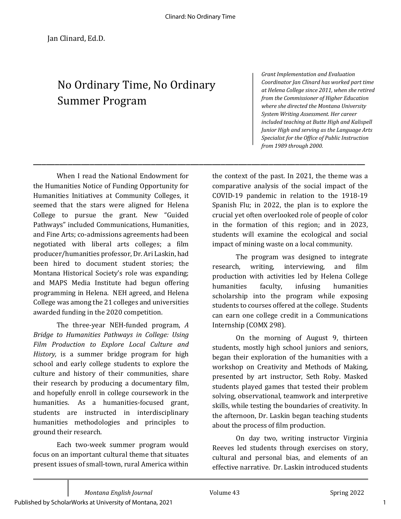\_\_\_\_\_\_\_\_\_\_\_\_\_\_\_\_\_\_\_\_\_\_\_\_\_\_\_\_\_\_\_\_\_\_\_\_\_\_\_\_\_\_\_\_\_\_\_\_\_\_\_\_\_\_\_\_\_\_\_\_\_\_\_\_\_\_\_\_\_\_\_\_\_\_\_\_

## No Ordinary Time, No Ordinary Summer Program

*Grant Implementation and Evaluation* Coordinator Jan Clinard has worked part time *at Helena College since 2011, when she retired from the Commissioner of Higher Education* where she directed the Montana University *System Writing Assessment. Her career included teaching at Butte High and Kalispell Junior High and serving as the Language Arts* Specialist for the Office of Public Instruction *from 1989 through 2000.*

When I read the National Endowment for the Humanities Notice of Funding Opportunity for Humanities Initiatives at Community Colleges, it seemed that the stars were aligned for Helena College to pursue the grant. New "Guided Pathways" included Communications, Humanities, and Fine Arts; co-admissions agreements had been negotiated with liberal arts colleges; a film producer/humanities professor, Dr. Ari Laskin, had been hired to document student stories; the Montana Historical Society's role was expanding; and MAPS Media Institute had begun offering programming in Helena. NEH agreed, and Helena College was among the 21 colleges and universities awarded funding in the 2020 competition.

The three-year NEH-funded program, *A* **Bridge to Humanities Pathways in College: Using** *Film Production to Explore Local Culture and History*, is a summer bridge program for high school and early college students to explore the culture and history of their communities, share their research by producing a documentary film, and hopefully enroll in college coursework in the humanities. As a humanities-focused grant, students are instructed in interdisciplinary humanities methodologies and principles to ground their research.

Each two-week summer program would focus on an important cultural theme that situates present issues of small-town, rural America within

the context of the past. In 2021, the theme was a comparative analysis of the social impact of the COVID-19 pandemic in relation to the 1918-19 Spanish Flu; in 2022, the plan is to explore the crucial yet often overlooked role of people of color in the formation of this region; and in 2023, students will examine the ecological and social impact of mining waste on a local community.

The program was designed to integrate research, writing, interviewing, and film production with activities led by Helena College humanities faculty, infusing humanities scholarship into the program while exposing students to courses offered at the college. Students can earn one college credit in a Communications Internship (COMX 298).

On the morning of August 9, thirteen students, mostly high school juniors and seniors, began their exploration of the humanities with a workshop on Creativity and Methods of Making, presented by art instructor, Seth Roby. Masked students played games that tested their problem solving, observational, teamwork and interpretive skills, while testing the boundaries of creativity. In the afternoon, Dr. Laskin began teaching students about the process of film production.

On day two, writing instructor Virginia Reeves led students through exercises on story, cultural and personal bias, and elements of an effective narrative. Dr. Laskin introduced students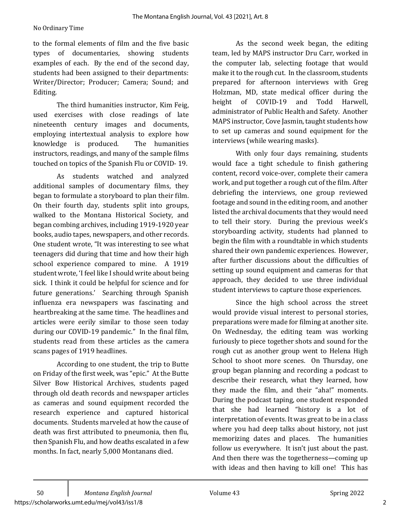## No Ordinary Time

to the formal elements of film and the five basic types of documentaries, showing students examples of each. By the end of the second day, students had been assigned to their departments: Writer/Director; Producer; Camera; Sound; and Editing. 

The third humanities instructor, Kim Feig, used exercises with close readings of late nineteenth century images and documents, employing intertextual analysis to explore how knowledge is produced. The humanities instructors, readings, and many of the sample films touched on topics of the Spanish Flu or COVID-19.

As students watched and analyzed additional samples of documentary films, they began to formulate a storyboard to plan their film. On their fourth day, students split into groups, walked to the Montana Historical Society, and began combing archives, including 1919-1920 year books, audio tapes, newspapers, and other records. One student wrote, "It was interesting to see what teenagers did during that time and how their high school experience compared to mine. A 1919 student wrote, 'I feel like I should write about being sick. I think it could be helpful for science and for future generations.' Searching through Spanish influenza era newspapers was fascinating and heartbreaking at the same time. The headlines and articles were eerily similar to those seen today during our COVID-19 pandemic." In the final film, students read from these articles as the camera scans pages of 1919 headlines.

According to one student, the trip to Butte on Friday of the first week, was "epic." At the Butte Silver Bow Historical Archives, students paged through old death records and newspaper articles as cameras and sound equipment recorded the research experience and captured historical documents. Students marveled at how the cause of death was first attributed to pneumonia, then flu, then Spanish Flu, and how deaths escalated in a few months. In fact, nearly 5,000 Montanans died.

As the second week began, the editing team, led by MAPS instructor Dru Carr, worked in the computer lab, selecting footage that would make it to the rough cut. In the classroom, students prepared for afternoon interviews with Greg Holzman, MD, state medical officer during the height of COVID-19 and Todd Harwell. administrator of Public Health and Safety. Another MAPS instructor, Cove Jasmin, taught students how to set up cameras and sound equipment for the interviews (while wearing masks).

With only four days remaining, students would face a tight schedule to finish gathering content, record voice-over, complete their camera work, and put together a rough cut of the film. After debriefing the interviews, one group reviewed footage and sound in the editing room, and another listed the archival documents that they would need to tell their story. During the previous week's storyboarding activity, students had planned to begin the film with a roundtable in which students shared their own pandemic experiences. However, after further discussions about the difficulties of setting up sound equipment and cameras for that approach, they decided to use three individual student interviews to capture those experiences.

Since the high school across the street would provide visual interest to personal stories, preparations were made for filming at another site. On Wednesday, the editing team was working furiously to piece together shots and sound for the rough cut as another group went to Helena High School to shoot more scenes. On Thursday, one group began planning and recording a podcast to describe their research, what they learned, how they made the film, and their "aha!" moments. During the podcast taping, one student responded that she had learned "history is a lot of interpretation of events. It was great to be in a class where you had deep talks about history, not just memorizing dates and places. The humanities follow us everywhere. It isn't just about the past. And then there was the togetherness—coming up with ideas and then having to kill one! This has